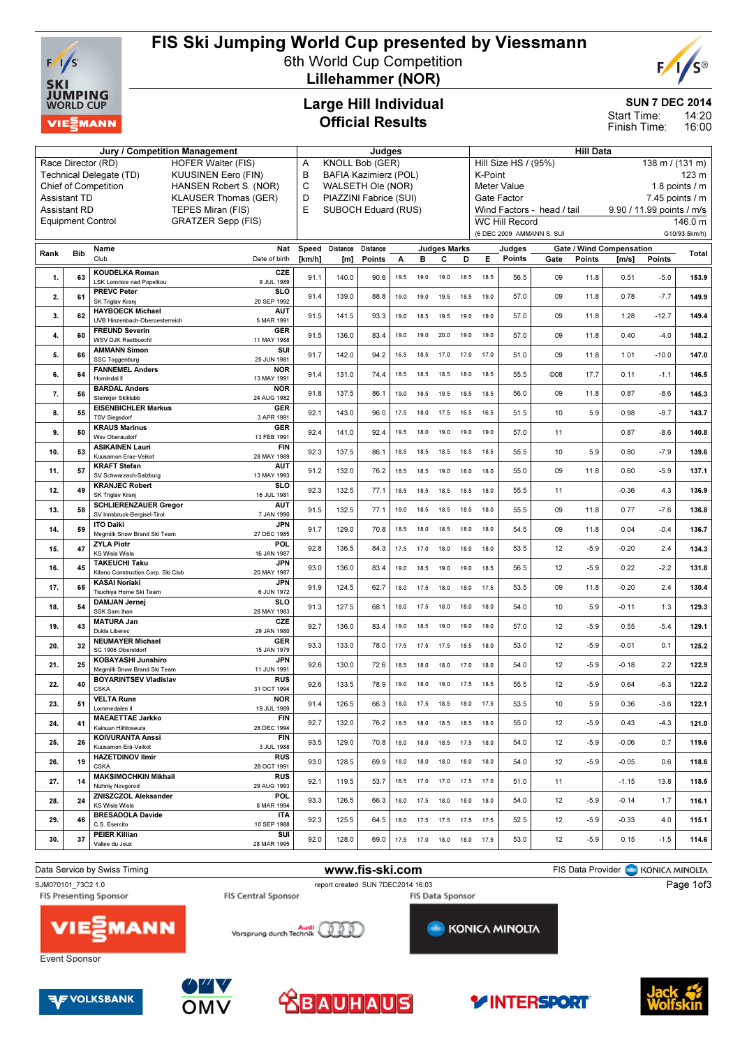

## FIS Ski Jumping World Cup presented by Viessmann

6th World Cup Competition Lillehammer (NOR)



SUN 7 DEC 2014

14:20 16:00 Start Time: Finish Time:

Large Hill Individual Official Results

| Jury / Competition Management                                                 |                     |                                                             |                                                    |                 | Judges                      |                    |      |                |                              |                                                                 |                                                   | <b>Hill Data</b>      |                            |        |                                   |               |                          |  |
|-------------------------------------------------------------------------------|---------------------|-------------------------------------------------------------|----------------------------------------------------|-----------------|-----------------------------|--------------------|------|----------------|------------------------------|-----------------------------------------------------------------|---------------------------------------------------|-----------------------|----------------------------|--------|-----------------------------------|---------------|--------------------------|--|
| Race Director (RD)<br><b>HOFER Walter (FIS)</b><br><b>KUUSINEN Eero (FIN)</b> |                     |                                                             |                                                    |                 | <b>KNOLL Bob (GER)</b><br>Α |                    |      |                |                              |                                                                 | Hill Size HS / (95%)<br>$138 \text{ m}$ / (131 m) |                       |                            |        |                                   |               |                          |  |
|                                                                               |                     | Technical Delegate (TD)                                     | B<br><b>BAFIA Kazimierz (POL)</b>                  |                 |                             |                    |      |                |                              | K-Point<br>123 <sub>m</sub>                                     |                                                   |                       |                            |        |                                   |               |                          |  |
|                                                                               |                     | <b>Chief of Competition</b><br>HANSEN Robert S. (NOR)       | C<br>WALSETH Ole (NOR)                             |                 |                             |                    |      |                |                              | 1.8 points $/$ m<br>Meter Value                                 |                                                   |                       |                            |        |                                   |               |                          |  |
|                                                                               | <b>Assistant TD</b> | <b>KLAUSER Thomas (GER)</b>                                 | D<br>PIAZZINI Fabrice (SUI)<br>SUBOCH Eduard (RUS) |                 |                             |                    |      |                |                              | $7.45$ points $/ m$<br>Gate Factor<br>9.90 / 11.99 points / m/s |                                                   |                       |                            |        |                                   |               |                          |  |
|                                                                               | <b>Assistant RD</b> |                                                             | TEPES Miran (FIS)                                  | E               |                             |                    |      |                |                              |                                                                 |                                                   |                       | Wind Factors - head / tail |        |                                   |               |                          |  |
|                                                                               |                     | <b>Equipment Control</b>                                    | <b>GRATZER Sepp (FIS)</b>                          |                 |                             |                    |      |                |                              |                                                                 |                                                   | <b>WC Hill Record</b> | (6 DEC 2009 AMMANN S. SUI  |        |                                   |               | 146.0 m<br>G10/93.5km/h) |  |
|                                                                               |                     |                                                             |                                                    |                 |                             |                    |      |                |                              |                                                                 |                                                   |                       |                            |        |                                   |               |                          |  |
| Rank                                                                          | <b>Bib</b>          | Name<br>Club                                                | Nat<br>Date of birth                               | Speed<br>[km/h] | Distance<br>[m]             | Distance<br>Points | Α    | в              | <b>Judges Marks</b><br>с     | D                                                               | Е                                                 | Judges<br>Points      | Gate                       | Points | Gate / Wind Compensation<br>[m/s] | <b>Points</b> | Total                    |  |
|                                                                               |                     |                                                             |                                                    |                 |                             |                    |      |                |                              |                                                                 |                                                   |                       |                            |        |                                   |               |                          |  |
| 1.                                                                            | 63                  | <b>KOUDELKA Roman</b><br><b>LSK Lomnice nad Popelkou</b>    | CZE<br>9 JUL 1989                                  | 91.1            | 140.0                       | 90.6               | 19.5 | 19.0           | 19.0                         | 18.5                                                            | 18.5                                              | 56.5                  | 09                         | 11.8   | 0.51                              | $-5.0$        | 153.9                    |  |
| 2.                                                                            | 61                  | <b>PREVC Peter</b>                                          | <b>SLO</b>                                         | 91.4            | 139.0                       | 88.8               | 19.0 | 19.0           | 19.5                         | 18.5                                                            | 19.0                                              | 57.0                  | 09                         | 11.8   | 0.78                              | $-7.7$        | 149.9                    |  |
|                                                                               |                     | SK Triglav Kranj                                            | 20 SEP 1992                                        |                 |                             |                    |      |                |                              |                                                                 |                                                   |                       |                            |        |                                   |               |                          |  |
| 3.                                                                            | 62                  | <b>HAYBOECK Michael</b><br>UVB Hinzenbach-Oberoesterreich   | <b>AUT</b><br>5 MAR 1991                           | 91.5            | 141.5                       | 93.3               | 19.0 | 18.5           | 19.5                         | 19.0                                                            | 19.0                                              | 57.0                  | 09                         | 11.8   | 1.28                              | $-12.7$       | 149.4                    |  |
| 4.                                                                            | 60                  | <b>FREUND Severin</b>                                       | <b>GER</b>                                         | 91.5            | 136.0                       | 83.4               | 19.0 | 19.0           | 20.0                         | 19.0                                                            | 19.0                                              | 57.0                  | 09                         | 11.8   | 0.40                              | $-4.0$        | 148.2                    |  |
|                                                                               |                     | <b>WSV DJK Rastbuechl</b>                                   | 11 MAY 1988                                        |                 |                             |                    |      |                |                              |                                                                 |                                                   |                       |                            |        |                                   |               |                          |  |
| 5.                                                                            | 66                  | <b>AMMANN Simon</b><br><b>SSC Toggenburg</b>                | SUI<br>25 JUN 1981                                 | 91.7            | 142.0                       | 94.2               | 16.5 | 18.5           | 17.0                         | 17.0                                                            | 17.0                                              | 51.0                  | 09                         | 11.8   | 1.01                              | $-10.0$       | 147.0                    |  |
| 6.                                                                            | 64                  | <b>FANNEMEL Anders</b>                                      | <b>NOR</b>                                         | 91.4            | 131.0                       | 74.4               | 18.5 |                |                              | 18.0                                                            | 18.5                                              | 55.5                  | C <sub>08</sub>            | 17.7   | 0.11                              | $-1.1$        | 146.5                    |  |
|                                                                               |                     | Hornindal II                                                | 13 MAY 1991                                        |                 |                             |                    |      | 18.5           | 18.5                         |                                                                 |                                                   |                       |                            |        |                                   |               |                          |  |
| 7.                                                                            | 56                  | <b>BARDAL Anders</b><br>Steinkjer Skiklubb                  | <b>NOR</b><br>24 AUG 1982                          | 91.8            | 137.5                       | 86.1               | 19.0 | 18.5           | 19.5                         | 18.5                                                            | 18.5                                              | 56.0                  | 09                         | 11.8   | 0.87                              | $-8.6$        | 145.3                    |  |
|                                                                               | 55                  | <b>EISENBICHLER Markus</b>                                  | <b>GER</b>                                         | 92.1            | 143.0                       | 96.0               | 17.5 | 18.0           | 17.5                         | 16.5                                                            | 16.5                                              | 51.5                  | 10                         | 5.9    |                                   | $-9.7$        | 143.7                    |  |
| 8.                                                                            |                     | <b>TSV Siegsdorf</b>                                        | 3 APR 1991                                         |                 |                             |                    |      |                |                              |                                                                 |                                                   |                       |                            |        | 0.98                              |               |                          |  |
| 9.                                                                            | 50                  | <b>KRAUS Marinus</b><br><b>Wsv Oberaudorf</b>               | <b>GER</b><br>13 FEB 1991                          | 92.4            | 141.0                       | 92.4               | 19.5 | 18.0           | 19.0                         | 19.0                                                            | 19.0                                              | 57.0                  | 11                         |        | 0.87                              | $-8.6$        | 140.8                    |  |
|                                                                               | 53                  | <b>ASIKAINEN Lauri</b>                                      | FIN                                                | 92.3            |                             | 86.1               |      |                |                              |                                                                 |                                                   | 55.5                  | 10                         | 5.9    | 0.80                              | $-7.9$        |                          |  |
| 10.                                                                           |                     | Kuusamon Erae-Veikot                                        | 28 MAY 1989                                        |                 | 137.5                       |                    | 18.5 | 18.5           | 18.5                         | 18.5                                                            | 18.5                                              |                       |                            |        |                                   |               | 139.6                    |  |
| 11.                                                                           | 57                  | <b>KRAFT Stefan</b><br>SV Schwarzach-Salzburg               | <b>AUT</b><br>13 MAY 1993                          | 91.2            | 132.0                       | 76.2               | 18.5 | 18.5           | 19.0                         | 18.0                                                            | 18.0                                              | 55.0                  | 09                         | 11.8   | 0.60                              | $-5.9$        | 137.1                    |  |
|                                                                               |                     | <b>KRANJEC Robert</b>                                       | <b>SLO</b>                                         |                 |                             |                    |      |                |                              |                                                                 |                                                   |                       |                            |        |                                   |               |                          |  |
| 12.                                                                           | 49                  | SK Triglav Kranj                                            | 16 JUL 1981                                        | 92.3            | 132.5                       | 77.1               | 18.5 | 18.5           | 18.5                         | 18.5                                                            | 18.0                                              | 55.5                  | 11                         |        | $-0.36$                           | 4.3           | 136.9                    |  |
| 13.                                                                           | 58                  | <b>SCHLIERENZAUER Gregor</b><br>SV Innsbruck-Bergisel-Tirol | <b>AUT</b><br>7 JAN 1990                           | 91.5            | 132.5                       | 77.1               | 19.0 | 18.5           | 18.5                         | 18.5                                                            | 18.0                                              | 55.5                  | 09                         | 11.8   | 0.77                              | $-7.6$        | 136.8                    |  |
| 14.                                                                           | 59                  | <b>ITO Daiki</b>                                            | <b>JPN</b>                                         | 91.7            | 129.0                       | 70.8               | 18.5 | 18.0           | 18.5                         | 18.0                                                            | 18.0                                              | 54.5                  | 09                         | 11.8   | 0.04                              | $-0.4$        | 136.7                    |  |
|                                                                               |                     | Megmilk Snow Brand Ski Team                                 | 27 DEC 1985                                        |                 |                             |                    |      |                |                              |                                                                 |                                                   |                       |                            |        |                                   |               |                          |  |
| 15.                                                                           | 47                  | <b>ZYLA Piotr</b><br><b>KS Wisla Wisla</b>                  | POL<br>16 JAN 1987                                 | 92.8            | 136.5                       | 84.3               | 17.5 | 17.0           | 18.0                         | 18.0                                                            | 18.0                                              | 53.5                  | 12                         | $-5.9$ | $-0.20$                           | 2.4           | 134.3                    |  |
| 16.                                                                           | 45                  | <b>TAKEUCHI Taku</b>                                        | <b>JPN</b>                                         | 93.0            | 136.0                       | 83.4               | 19.0 | 18.5           | 19.0                         | 19.0                                                            | 18.5                                              | 56.5                  | 12                         | $-5.9$ | 0.22                              | $-2.2$        | 131.8                    |  |
|                                                                               |                     | Kitano Construction Corp. Ski Club                          | 20 MAY 1987                                        |                 |                             |                    |      |                |                              |                                                                 |                                                   |                       |                            |        |                                   |               |                          |  |
| 17.                                                                           | 65                  | <b>KASAI Noriaki</b><br>Tsuchiya Home Ski Team              | <b>JPN</b><br>6 JUN 1972                           | 91.9            | 124.5                       | 62.7               | 18.0 | 17.5           | 18.0                         | 18.0                                                            | 17.5                                              | 53.5                  | 09                         | 11.8   | $-0.20$                           | 2.4           | 130.4                    |  |
| 18.                                                                           | 54                  | <b>DAMJAN Jernej</b>                                        | <b>SLO</b>                                         | 91.3            | 127.5                       | 68.1               | 18.0 | 17.5           | 18.0                         | 18.0                                                            | 18.0                                              | 54.0                  | 10                         | 5.9    | $-0.11$                           | 1.3           | 129.3                    |  |
|                                                                               |                     | SSK Sam Ihan                                                | 28 MAY 1983                                        |                 |                             |                    |      |                |                              |                                                                 |                                                   |                       |                            |        |                                   |               |                          |  |
| 19.                                                                           | 43                  | <b>MATURA Jan</b><br>Dukla Liberec                          | CZE<br>29 JAN 1980                                 | 92.7            | 136.0                       | 83.4               | 19.0 | 18.5           | 19.0                         | 19.0                                                            | 19.0                                              | 57.0                  | 12                         | $-5.9$ | 0.55                              | $-5.4$        | 129.1                    |  |
| 20.                                                                           | 32                  | <b>NEUMAYER Michael</b>                                     | <b>GER</b>                                         | 93.3            | 133.0                       | 78.0               | 17.5 | 17.5           | 17.5                         | 18.5                                                            | 18.0                                              | 53.0                  | 12                         | $-5.9$ | $-0.01$                           | 0.1           | 125.2                    |  |
|                                                                               |                     | SC 1906 Oberstdorf<br><b>KOBAYASHI Junshiro</b>             | 15 JAN 1979<br><b>JPN</b>                          |                 |                             |                    |      |                |                              |                                                                 |                                                   |                       |                            |        |                                   |               |                          |  |
| 21.                                                                           | 25                  | Megmilk Snow Brand Ski Team                                 | 11 JUN 1991                                        | 92.6            | 130.0                       | 72.6               | 18.5 | 18.0           | 18.0                         | 17.0                                                            | 18.0                                              | 54.0                  | 12                         | $-5.9$ | $-0.18$                           | 2.2           | 122.9                    |  |
| 22.                                                                           | 40                  | <b>BOYARINTSEV Vladislav</b>                                | <b>RUS</b>                                         | 92.6            | 133.5                       | 78.9               | 19.0 | 18.0           |                              | 19.0 17.5                                                       | 18.5                                              | 55.5                  | 12                         | $-5.9$ | 0.64                              | $-6.3$        | 122.2                    |  |
|                                                                               |                     | <b>CSKA</b><br><b>VELTA Rune</b>                            | 31 OCT 1994<br><b>NOR</b>                          |                 |                             |                    |      |                |                              |                                                                 |                                                   |                       |                            |        |                                   |               |                          |  |
| 23.                                                                           | 51                  | Lommedalen II                                               | 19 JUL 1989                                        | 91.4            | 126.5                       | 66.3               | 18.0 | 17.5           | 18.5                         | 18.0                                                            | 17.5                                              | 53.5                  | 10                         | 5.9    | 0.36                              | $-3.6$        | 122.1                    |  |
| 24.                                                                           | 41                  | <b>MAEAETTAE Jarkko</b>                                     | FIN                                                | 92.7            | 132.0                       | 76.2               |      | 18.5 18.0      | 18.5                         | 18.5                                                            | 18.0                                              | 55.0                  | 12                         | $-5.9$ | 0.43                              | $-4.3$        | 121.0                    |  |
|                                                                               |                     | Kainuun Hiihtoseura                                         | 28 DEC 1994                                        |                 |                             |                    |      |                |                              |                                                                 |                                                   |                       |                            |        |                                   |               |                          |  |
| 25.                                                                           | 26                  | <b>KOIVURANTA Anssi</b><br>Kuusamon Erä-Veikot              | FIN<br>3 JUL 1988                                  | 93.5            | 129.0                       | 70.8               |      |                | 18.0 18.0 18.5 17.5          |                                                                 | 18.0                                              | 54.0                  | 12                         | $-5.9$ | $-0.06$                           | 0.7           | 119.6                    |  |
| 26.                                                                           | 19                  | <b>HAZETDINOV Ilmir</b>                                     | <b>RUS</b>                                         | 93.0            | 128.5                       | 69.9               | 18.0 | 18.0           | 18.0                         | 18.0                                                            | 18.0                                              | 54.0                  | 12                         | $-5.9$ | $-0.05$                           | 0.6           | 118.6                    |  |
|                                                                               |                     | <b>CSKA</b>                                                 | 28 OCT 1991                                        |                 |                             |                    |      |                |                              |                                                                 |                                                   |                       |                            |        |                                   |               |                          |  |
| 27.                                                                           | 14                  | <b>MAKSIMOCHKIN Mikhail</b><br>Nizhniy Novgorod             | <b>RUS</b><br>29 AUG 1993                          | 92.1            | 119.5                       | 53.7               |      |                | 16.5 17.0 17.0 17.5 17.0     |                                                                 |                                                   | 51.0                  | 11                         |        | $-1.15$                           | 13.8          | 118.5                    |  |
| 28.                                                                           | 24                  | ZNISZCZOL Aleksander                                        | <b>POL</b>                                         | 93.3            | 126.5                       | 66.3               |      | 18.0 17.5 18.0 |                              | 18.0                                                            | 18.0                                              | 54.0                  | 12                         | $-5.9$ | $-0.14$                           | 1.7           | 116.1                    |  |
|                                                                               |                     | KS Wisla Wisla                                              | 8 MAR 1994                                         |                 |                             |                    |      |                |                              |                                                                 |                                                   |                       |                            |        |                                   |               |                          |  |
| 29.                                                                           | 46                  | <b>BRESADOLA Davide</b><br>C.S. Esercito                    | ITA<br>10 SEP 1988                                 | 92.3            | 125.5                       | 64.5               |      |                | 18.0  17.5  17.5  17.5  17.5 |                                                                 |                                                   | 52.5                  | 12                         | $-5.9$ | $-0.33$                           | 4.0           | 115.1                    |  |
|                                                                               | 37                  | <b>PEIER Killian</b>                                        | SUI                                                |                 | 128.0                       | 69.0               |      |                | 17.5  17.0  18.0  18.0  17.5 |                                                                 |                                                   | 53.0                  |                            |        |                                   | $-1.5$        | 114.6                    |  |
| 30.                                                                           |                     | Vallee du Joux                                              | 28 MAR 1995                                        | 92.0            |                             |                    |      |                |                              |                                                                 |                                                   |                       | 12                         | $-5.9$ | 0.15                              |               |                          |  |











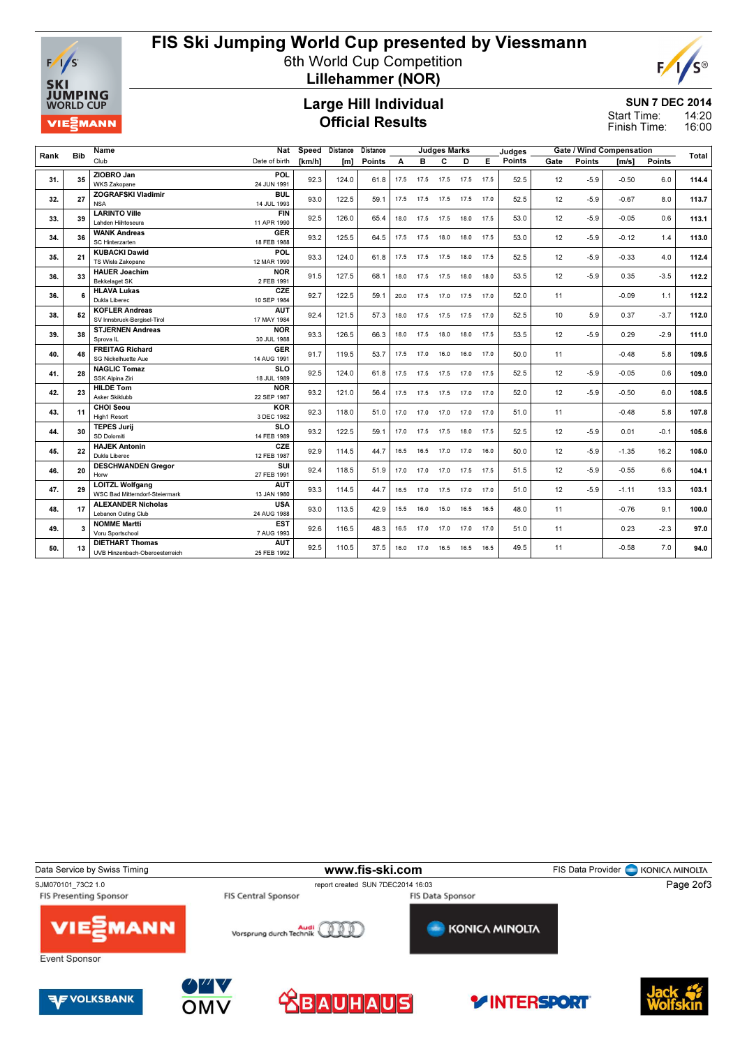

# FIS Ski Jumping World Cup presented by Viessmann

6th World Cup Competition Lillehammer (NOR)

## Large Hill Individual Official Results

### SUN 7 DEC 2014 14:20

S®

16:00 Start Time: Finish Time:

E

|      | <b>Bib</b> | Name                                                 | Nat                       | Speed  | Distance | Distance |      | <b>Judges Marks</b> |                        |                     |      | Judges |      |               | <b>Gate / Wind Compensation</b> |               | Total |
|------|------------|------------------------------------------------------|---------------------------|--------|----------|----------|------|---------------------|------------------------|---------------------|------|--------|------|---------------|---------------------------------|---------------|-------|
| Rank |            | Club                                                 | Date of birth             | [km/h] | [m]      | Points   | A    | в                   | C                      | D.                  | E.   | Points | Gate | <b>Points</b> | $\mathsf{[m/s]}$                | <b>Points</b> |       |
|      |            | ZIOBRO Jan                                           | POL                       |        |          |          |      |                     |                        |                     |      |        |      |               |                                 |               |       |
| 31.  | 35         | <b>WKS Zakopane</b>                                  | 24 JUN 1991               | 92.3   | 124.0    | 61.8     |      |                     | 17.5 17.5 17.5 17.5    |                     | 17.5 | 52.5   | 12   | $-5.9$        | $-0.50$                         | 6.0           | 114.4 |
| 32.  | 27         | <b>ZOGRAFSKI Vladimir</b>                            | <b>BUL</b>                | 93.0   | 122.5    | 59.1     |      | 17.5 17.5 17.5      |                        | 17.5                | 17.0 | 52.5   | 12   | $-5.9$        | $-0.67$                         | 8.0           | 113.7 |
|      |            | <b>NSA</b>                                           | 14 JUL 1993               |        |          |          |      |                     |                        |                     |      |        |      |               |                                 |               |       |
| 33.  | 39         | <b>LARINTO Ville</b>                                 | <b>FIN</b>                | 92.5   | 126.0    | 65.4     |      | 18.0 17.5 17.5      |                        | 18.0                | 17.5 | 53.0   | 12   | $-5.9$        | $-0.05$                         | 0.6           | 113.1 |
|      |            | Lahden Hiihtoseura                                   | 11 APR 1990               |        |          |          |      |                     |                        |                     |      |        |      |               |                                 |               |       |
| 34.  | 36         | <b>WANK Andreas</b>                                  | <b>GER</b>                | 93.2   | 125.5    | 64.5     |      | 17.5 17.5 18.0      |                        | 18.0                | 17.5 | 53.0   | 12   | $-5.9$        | $-0.12$                         | 1.4           | 113.0 |
|      |            | SC Hinterzarten                                      | 18 FEB 1988               |        |          |          |      |                     |                        |                     |      |        |      |               |                                 |               |       |
| 35.  | 21         | <b>KUBACKI Dawid</b>                                 | <b>POL</b>                | 93.3   | 124.0    | 61.8     |      | 17.5 17.5 17.5      |                        | 18.0                | 17.5 | 52.5   | 12   | $-5.9$        | $-0.33$                         | 4.0           | 112.4 |
|      |            | <b>TS Wisla Zakopane</b>                             | 12 MAR 1990               |        |          |          |      |                     |                        |                     |      |        |      |               |                                 |               |       |
| 36.  | 33         | <b>HAUER Joachim</b>                                 | <b>NOR</b><br>2 FEB 1991  | 91.5   | 127.5    | 68.1     |      | 18.0 17.5 17.5      |                        | 18.0                | 18.0 | 53.5   | 12   | $-5.9$        | 0.35                            | $-3.5$        | 112.2 |
|      |            | <b>Bekkelaget SK</b>                                 | CZE                       |        |          |          |      |                     |                        |                     |      |        |      |               |                                 |               |       |
| 36.  | 6          | <b>HLAVA Lukas</b>                                   |                           | 92.7   | 122.5    | 59.1     |      |                     | 20.0 17.5 17.0 17.5    |                     | 17.0 | 52.0   | 11   |               | $-0.09$                         | 1.1           | 112.2 |
|      |            | Dukla Liberec<br>10 SEP 1984                         |                           |        |          |          |      |                     |                        |                     |      |        |      |               |                                 |               |       |
| 38.  | 52         | <b>KOFLER Andreas</b><br>SV Innsbruck-Bergisel-Tirol | <b>AUT</b><br>17 MAY 1984 | 92.4   | 121.5    | 57.3     |      |                     | 18.0 17.5 17.5 17.5    |                     | 17.0 | 52.5   | 10   | 5.9           | 0.37                            | $-3.7$        | 112.0 |
|      |            | <b>STJERNEN Andreas</b>                              | <b>NOR</b>                |        |          |          |      |                     |                        |                     |      |        |      |               |                                 |               |       |
| 39.  | 38         | Sprova <sub>IL</sub>                                 | 30 JUL 1988               | 93.3   | 126.5    | 66.3     |      | 18.0 17.5           | 18.0                   | 18.0                | 17.5 | 53.5   | 12   | $-5.9$        | 0.29                            | $-2.9$        | 111.0 |
|      |            | <b>FREITAG Richard</b>                               | <b>GER</b>                |        |          |          |      |                     |                        |                     |      |        |      |               |                                 |               |       |
| 40.  | 48         | SG Nickelhuette Aue                                  | 14 AUG 1991               | 91.7   | 119.5    | 53.7     |      | 17.5 17.0 16.0      |                        | 16.0                | 17.0 | 50.0   | 11   |               | $-0.48$                         | 5.8           | 109.5 |
|      |            | <b>NAGLIC Tomaz</b>                                  | <b>SLO</b>                |        | 124.0    |          |      |                     |                        | 17.5 17.5 17.5 17.0 |      | 52.5   |      |               |                                 |               |       |
| 41.  | 28         | SSK Alpina Ziri                                      | 18 JUL 1989               | 92.5   |          | 61.8     |      |                     |                        |                     | 17.5 |        | 12   | $-5.9$        | $-0.05$                         | 0.6           | 109.0 |
|      |            | <b>HILDE Tom</b>                                     | <b>NOR</b>                |        |          |          |      |                     |                        |                     |      |        |      |               |                                 |               |       |
| 42.  | 23         | Asker Skiklubb                                       | 22 SEP 1987               | 93.2   | 121.0    | 56.4     |      |                     | 17.5 17.5 17.5 17.0    |                     | 17.0 | 52.0   | 12   | $-5.9$        | $-0.50$                         | 6.0           | 108.5 |
|      |            | <b>CHOI Seou</b>                                     | <b>KOR</b>                |        |          |          |      |                     |                        |                     |      |        |      |               |                                 |               |       |
| 43.  | 11         | <b>High1 Resort</b><br>3 DEC 1982                    |                           | 92.3   | 118.0    | 51.0     |      | 17.0 17.0 17.0      |                        | 17.0                | 17.0 | 51.0   | 11   |               | $-0.48$                         | 5.8           | 107.8 |
|      |            | <b>TEPES Jurij</b>                                   | <b>SLO</b>                |        |          |          |      |                     |                        |                     |      |        |      |               |                                 |               |       |
| 44.  | 30         | SD Dolomiti                                          | 14 FEB 1989               | 93.2   | 122.5    | 59.1     |      |                     | 17.0  17.5  17.5  18.0 |                     | 17.5 | 52.5   | 12   | $-5.9$        | 0.01                            | $-0.1$        | 105.6 |
|      |            | <b>HAJEK Antonin</b>                                 | CZE                       |        |          |          |      |                     |                        |                     |      |        |      |               |                                 |               |       |
| 45.  | 22         | Dukla Liberec                                        | 12 FEB 1987               | 92.9   | 114.5    | 44.7     |      | 16.5 16.5 17.0      |                        | 17.0                | 16.0 | 50.0   | 12   | $-5.9$        | $-1.35$                         | 16.2          | 105.0 |
|      |            | <b>DESCHWANDEN Gregor</b>                            | SUI                       |        |          |          |      |                     |                        |                     |      |        |      |               |                                 |               |       |
| 46.  | 20         | Horw                                                 | 27 FEB 1991               | 92.4   | 118.5    | 51.9     | 17.0 | 17.0 17.0           |                        | 17.5                | 17.5 | 51.5   | 12   | $-5.9$        | $-0.55$                         | 6.6           | 104.1 |
|      | 29         | <b>LOITZL Wolfgang</b>                               | <b>AUT</b>                | 93.3   | 114.5    |          | 16.5 | 17.0                | 17.5                   |                     |      | 51.0   |      |               | $-1.11$                         | 13.3          | 103.1 |
| 47.  |            | <b>WSC Bad Mitterndorf-Steiermark</b>                | 13 JAN 1980               |        |          | 44.7     |      |                     |                        | 17.0                | 17.0 |        | 12   | $-5.9$        |                                 |               |       |
| 48.  | 17         | <b>ALEXANDER Nicholas</b>                            | <b>USA</b>                | 93.0   | 113.5    | 42.9     |      | 15.5 16.0           | 15.0                   | 16.5                | 16.5 | 48.0   | 11   |               | $-0.76$                         | 9.1           | 100.0 |
|      |            | Lebanon Outing Club                                  | 24 AUG 1988               |        |          |          |      |                     |                        |                     |      |        |      |               |                                 |               |       |
| 49.  | 3          | <b>NOMME Martti</b>                                  | <b>EST</b>                | 92.6   | 116.5    | 48.3     |      |                     | 16.5 17.0 17.0         | 17.0                | 17.0 | 51.0   | 11   |               | 0.23                            | $-2.3$        | 97.0  |
|      |            | Voru Sportschool                                     | 7 AUG 1993                |        |          |          |      |                     |                        |                     |      |        |      |               |                                 |               |       |
| 50.  | 13         | <b>DIETHART Thomas</b>                               | <b>AUT</b>                | 92.5   | 110.5    | 37.5     | 16.0 | 17.0                | 16.5                   | 16.5                | 16.5 | 49.5   | 11   |               | $-0.58$                         | 7.0           | 94.0  |
|      |            | UVB Hinzenbach-Oberoesterreich                       | 25 FEB 1992               |        |          |          |      |                     |                        |                     |      |        |      |               |                                 |               |       |